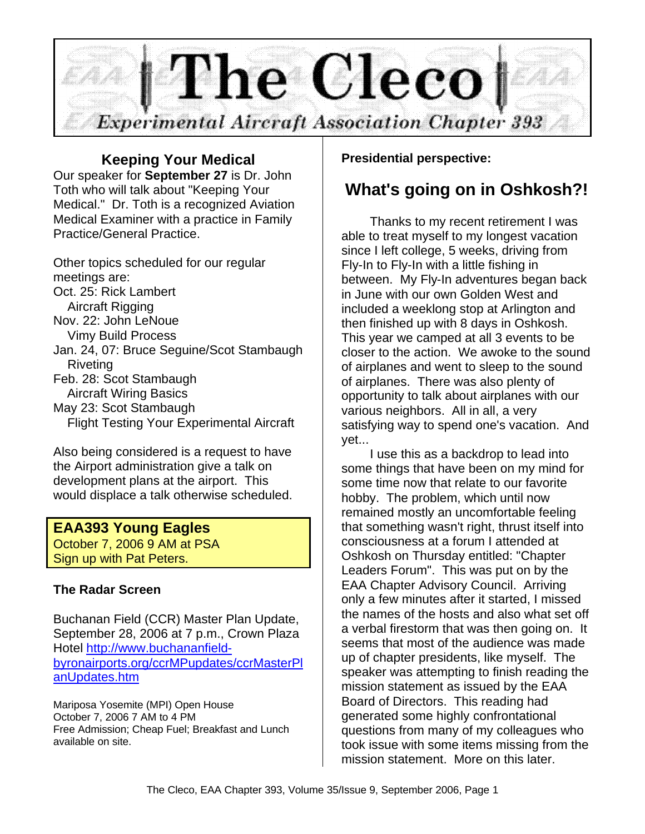

### **Keeping Your Medical**

Our speaker for **September 27** is Dr. John Toth who will talk about "Keeping Your Medical." Dr. Toth is a recognized Aviation Medical Examiner with a practice in Family Practice/General Practice.

Other topics scheduled for our regular meetings are: Oct. 25: Rick Lambert Aircraft Rigging Nov. 22: John LeNoue Vimy Build Process Jan. 24, 07: Bruce Seguine/Scot Stambaugh Riveting Feb. 28: Scot Stambaugh Aircraft Wiring Basics May 23: Scot Stambaugh Flight Testing Your Experimental Aircraft

Also being considered is a request to have the Airport administration give a talk on development plans at the airport. This would displace a talk otherwise scheduled.

#### **EAA393 Young Eagles**

October 7, 2006 9 AM at PSA Sign up with Pat Peters.

#### **The Radar Screen**

Buchanan Field (CCR) Master Plan Update, September 28, 2006 at 7 p.m., Crown Plaza Hotel http://www.buchananfieldbyronairports.org/ccrMPupdates/ccrMasterPl anUpdates.htm

Mariposa Yosemite (MPI) Open House October 7, 2006 7 AM to 4 PM Free Admission; Cheap Fuel; Breakfast and Lunch available on site.

#### **Presidential perspective:**

## **What's going on in Oshkosh?!**

Thanks to my recent retirement I was able to treat myself to my longest vacation since I left college, 5 weeks, driving from Fly-In to Fly-In with a little fishing in between. My Fly-In adventures began back in June with our own Golden West and included a weeklong stop at Arlington and then finished up with 8 days in Oshkosh. This year we camped at all 3 events to be closer to the action. We awoke to the sound of airplanes and went to sleep to the sound of airplanes. There was also plenty of opportunity to talk about airplanes with our various neighbors. All in all, a very satisfying way to spend one's vacation. And yet...

I use this as a backdrop to lead into some things that have been on my mind for some time now that relate to our favorite hobby. The problem, which until now remained mostly an uncomfortable feeling that something wasn't right, thrust itself into consciousness at a forum I attended at Oshkosh on Thursday entitled: "Chapter Leaders Forum". This was put on by the EAA Chapter Advisory Council. Arriving only a few minutes after it started, I missed the names of the hosts and also what set off a verbal firestorm that was then going on. It seems that most of the audience was made up of chapter presidents, like myself. The speaker was attempting to finish reading the mission statement as issued by the EAA Board of Directors. This reading had generated some highly confrontational questions from many of my colleagues who took issue with some items missing from the mission statement. More on this later.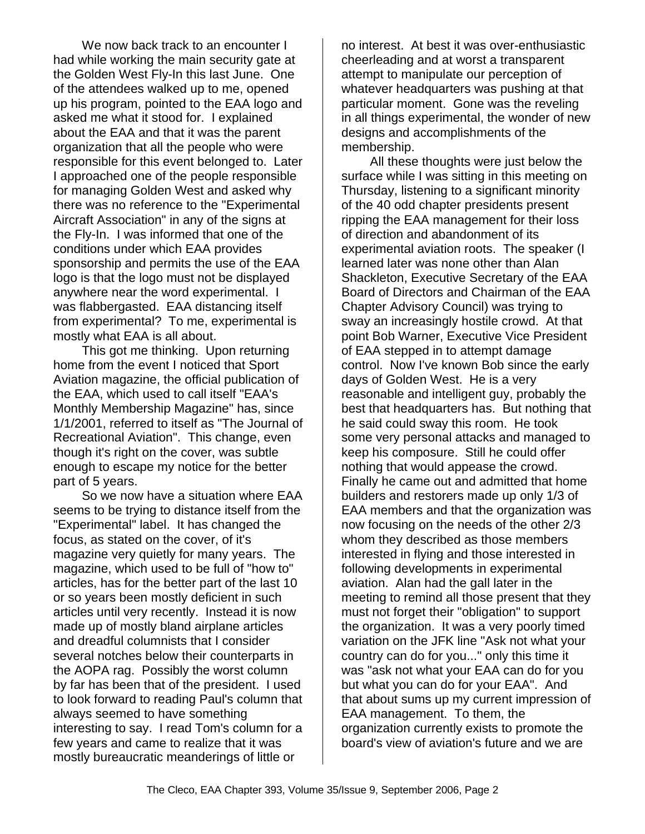We now back track to an encounter I had while working the main security gate at the Golden West Fly-In this last June. One of the attendees walked up to me, opened up his program, pointed to the EAA logo and asked me what it stood for. I explained about the EAA and that it was the parent organization that all the people who were responsible for this event belonged to. Later I approached one of the people responsible for managing Golden West and asked why there was no reference to the "Experimental Aircraft Association" in any of the signs at the Fly-In. I was informed that one of the conditions under which EAA provides sponsorship and permits the use of the EAA logo is that the logo must not be displayed anywhere near the word experimental. I was flabbergasted. EAA distancing itself from experimental? To me, experimental is mostly what EAA is all about.

This got me thinking. Upon returning home from the event I noticed that Sport Aviation magazine, the official publication of the EAA, which used to call itself "EAA's Monthly Membership Magazine" has, since 1/1/2001, referred to itself as "The Journal of Recreational Aviation". This change, even though it's right on the cover, was subtle enough to escape my notice for the better part of 5 years.

So we now have a situation where EAA seems to be trying to distance itself from the "Experimental" label. It has changed the focus, as stated on the cover, of it's magazine very quietly for many years. The magazine, which used to be full of "how to" articles, has for the better part of the last 10 or so years been mostly deficient in such articles until very recently. Instead it is now made up of mostly bland airplane articles and dreadful columnists that I consider several notches below their counterparts in the AOPA rag. Possibly the worst column by far has been that of the president. I used to look forward to reading Paul's column that always seemed to have something interesting to say. I read Tom's column for a few years and came to realize that it was mostly bureaucratic meanderings of little or

no interest. At best it was over-enthusiastic cheerleading and at worst a transparent attempt to manipulate our perception of whatever headquarters was pushing at that particular moment. Gone was the reveling in all things experimental, the wonder of new designs and accomplishments of the membership.

All these thoughts were just below the surface while I was sitting in this meeting on Thursday, listening to a significant minority of the 40 odd chapter presidents present ripping the EAA management for their loss of direction and abandonment of its experimental aviation roots. The speaker (I learned later was none other than Alan Shackleton, Executive Secretary of the EAA Board of Directors and Chairman of the EAA Chapter Advisory Council) was trying to sway an increasingly hostile crowd. At that point Bob Warner, Executive Vice President of EAA stepped in to attempt damage control. Now I've known Bob since the early days of Golden West. He is a very reasonable and intelligent guy, probably the best that headquarters has. But nothing that he said could sway this room. He took some very personal attacks and managed to keep his composure. Still he could offer nothing that would appease the crowd. Finally he came out and admitted that home builders and restorers made up only 1/3 of EAA members and that the organization was now focusing on the needs of the other 2/3 whom they described as those members interested in flying and those interested in following developments in experimental aviation. Alan had the gall later in the meeting to remind all those present that they must not forget their "obligation" to support the organization. It was a very poorly timed variation on the JFK line "Ask not what your country can do for you..." only this time it was "ask not what your EAA can do for you but what you can do for your EAA". And that about sums up my current impression of EAA management. To them, the organization currently exists to promote the board's view of aviation's future and we are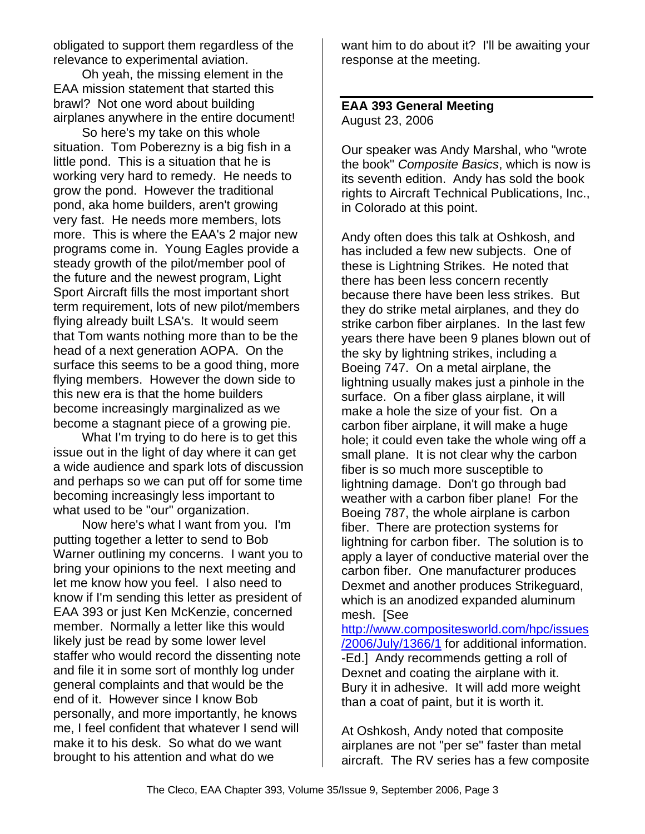obligated to support them regardless of the relevance to experimental aviation.

Oh yeah, the missing element in the EAA mission statement that started this brawl? Not one word about building airplanes anywhere in the entire document!

So here's my take on this whole situation. Tom Poberezny is a big fish in a little pond. This is a situation that he is working very hard to remedy. He needs to grow the pond. However the traditional pond, aka home builders, aren't growing very fast. He needs more members, lots more. This is where the EAA's 2 major new programs come in. Young Eagles provide a steady growth of the pilot/member pool of the future and the newest program, Light Sport Aircraft fills the most important short term requirement, lots of new pilot/members flying already built LSA's. It would seem that Tom wants nothing more than to be the head of a next generation AOPA. On the surface this seems to be a good thing, more flying members. However the down side to this new era is that the home builders become increasingly marginalized as we become a stagnant piece of a growing pie.

What I'm trying to do here is to get this issue out in the light of day where it can get a wide audience and spark lots of discussion and perhaps so we can put off for some time becoming increasingly less important to what used to be "our" organization.

Now here's what I want from you. I'm putting together a letter to send to Bob Warner outlining my concerns. I want you to bring your opinions to the next meeting and let me know how you feel. I also need to know if I'm sending this letter as president of EAA 393 or just Ken McKenzie, concerned member. Normally a letter like this would likely just be read by some lower level staffer who would record the dissenting note and file it in some sort of monthly log under general complaints and that would be the end of it. However since I know Bob personally, and more importantly, he knows me, I feel confident that whatever I send will make it to his desk. So what do we want brought to his attention and what do we

want him to do about it? I'll be awaiting your response at the meeting.

#### **EAA 393 General Meeting** August 23, 2006

Our speaker was Andy Marshal, who "wrote the book" *Composite Basics*, which is now is its seventh edition. Andy has sold the book rights to Aircraft Technical Publications, Inc., in Colorado at this point.

Andy often does this talk at Oshkosh, and has included a few new subjects. One of these is Lightning Strikes. He noted that there has been less concern recently because there have been less strikes. But they do strike metal airplanes, and they do strike carbon fiber airplanes. In the last few years there have been 9 planes blown out of the sky by lightning strikes, including a Boeing 747. On a metal airplane, the lightning usually makes just a pinhole in the surface. On a fiber glass airplane, it will make a hole the size of your fist. On a carbon fiber airplane, it will make a huge hole; it could even take the whole wing off a small plane. It is not clear why the carbon fiber is so much more susceptible to lightning damage. Don't go through bad weather with a carbon fiber plane! For the Boeing 787, the whole airplane is carbon fiber. There are protection systems for lightning for carbon fiber. The solution is to apply a layer of conductive material over the carbon fiber. One manufacturer produces Dexmet and another produces Strikeguard, which is an anodized expanded aluminum mesh. [See

http://www.compositesworld.com/hpc/issues /2006/July/1366/1 for additional information. -Ed.] Andy recommends getting a roll of Dexnet and coating the airplane with it. Bury it in adhesive. It will add more weight than a coat of paint, but it is worth it.

At Oshkosh, Andy noted that composite airplanes are not "per se" faster than metal aircraft. The RV series has a few composite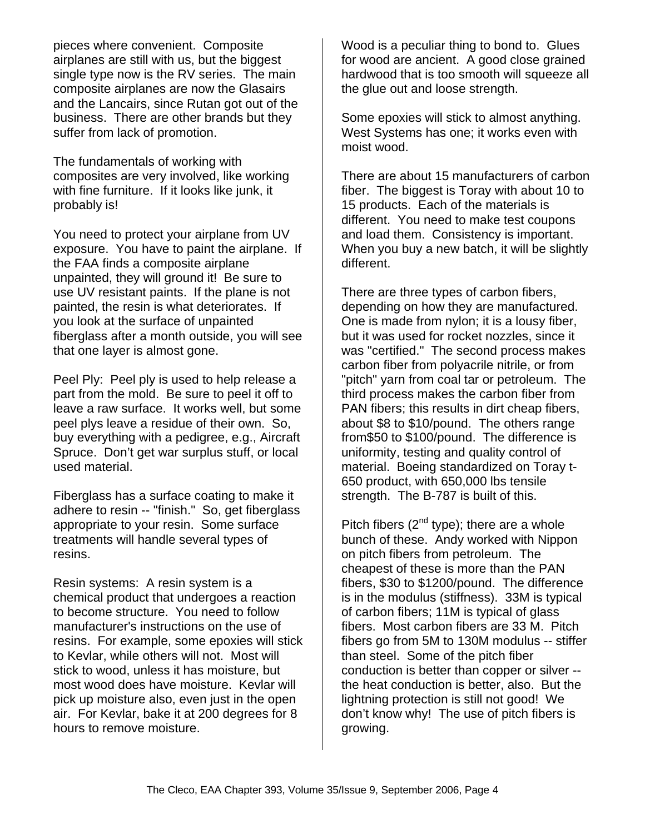pieces where convenient. Composite airplanes are still with us, but the biggest single type now is the RV series. The main composite airplanes are now the Glasairs and the Lancairs, since Rutan got out of the business. There are other brands but they suffer from lack of promotion.

The fundamentals of working with composites are very involved, like working with fine furniture. If it looks like junk, it probably is!

You need to protect your airplane from UV exposure. You have to paint the airplane. If the FAA finds a composite airplane unpainted, they will ground it! Be sure to use UV resistant paints. If the plane is not painted, the resin is what deteriorates. If you look at the surface of unpainted fiberglass after a month outside, you will see that one layer is almost gone.

Peel Ply: Peel ply is used to help release a part from the mold. Be sure to peel it off to leave a raw surface. It works well, but some peel plys leave a residue of their own. So, buy everything with a pedigree, e.g., Aircraft Spruce. Don't get war surplus stuff, or local used material.

Fiberglass has a surface coating to make it adhere to resin -- "finish." So, get fiberglass appropriate to your resin. Some surface treatments will handle several types of resins.

Resin systems: A resin system is a chemical product that undergoes a reaction to become structure. You need to follow manufacturer's instructions on the use of resins. For example, some epoxies will stick to Kevlar, while others will not. Most will stick to wood, unless it has moisture, but most wood does have moisture. Kevlar will pick up moisture also, even just in the open air. For Kevlar, bake it at 200 degrees for 8 hours to remove moisture.

Wood is a peculiar thing to bond to. Glues for wood are ancient. A good close grained hardwood that is too smooth will squeeze all the glue out and loose strength.

Some epoxies will stick to almost anything. West Systems has one; it works even with moist wood.

There are about 15 manufacturers of carbon fiber. The biggest is Toray with about 10 to 15 products. Each of the materials is different. You need to make test coupons and load them. Consistency is important. When you buy a new batch, it will be slightly different.

There are three types of carbon fibers, depending on how they are manufactured. One is made from nylon; it is a lousy fiber, but it was used for rocket nozzles, since it was "certified." The second process makes carbon fiber from polyacrile nitrile, or from "pitch" yarn from coal tar or petroleum. The third process makes the carbon fiber from PAN fibers; this results in dirt cheap fibers, about \$8 to \$10/pound. The others range from\$50 to \$100/pound. The difference is uniformity, testing and quality control of material. Boeing standardized on Toray t-650 product, with 650,000 lbs tensile strength. The B-787 is built of this.

Pitch fibers  $(2^{nd}$  type); there are a whole bunch of these. Andy worked with Nippon on pitch fibers from petroleum. The cheapest of these is more than the PAN fibers, \$30 to \$1200/pound. The difference is in the modulus (stiffness). 33M is typical of carbon fibers; 11M is typical of glass fibers. Most carbon fibers are 33 M. Pitch fibers go from 5M to 130M modulus -- stiffer than steel. Some of the pitch fiber conduction is better than copper or silver - the heat conduction is better, also. But the lightning protection is still not good! We don't know why! The use of pitch fibers is growing.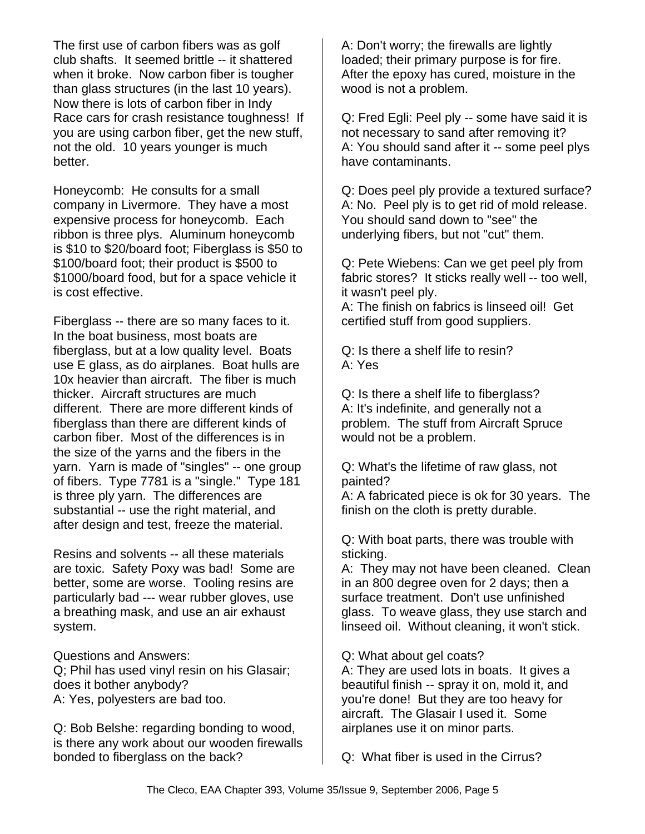The first use of carbon fibers was as golf club shafts. It seemed brittle -- it shattered when it broke. Now carbon fiber is tougher than glass structures (in the last 10 years). Now there is lots of carbon fiber in Indy Race cars for crash resistance toughness! If you are using carbon fiber, get the new stuff, not the old. 10 years younger is much better.

Honeycomb: He consults for a small company in Livermore. They have a most expensive process for honeycomb. Each ribbon is three plys. Aluminum honeycomb is \$10 to \$20/board foot; Fiberglass is \$50 to \$100/board foot; their product is \$500 to \$1000/board food, but for a space vehicle it is cost effective.

Fiberglass -- there are so many faces to it. In the boat business, most boats are fiberglass, but at a low quality level. Boats use E glass, as do airplanes. Boat hulls are 10x heavier than aircraft. The fiber is much thicker. Aircraft structures are much different. There are more different kinds of fiberglass than there are different kinds of carbon fiber. Most of the differences is in the size of the yarns and the fibers in the yarn. Yarn is made of "singles" -- one group of fibers. Type 7781 is a "single." Type 181 is three ply yarn. The differences are substantial -- use the right material, and after design and test, freeze the material.

Resins and solvents -- all these materials are toxic. Safety Poxy was bad! Some are better, some are worse. Tooling resins are particularly bad --- wear rubber gloves, use a breathing mask, and use an air exhaust system.

Questions and Answers: Q; Phil has used vinyl resin on his Glasair; does it bother anybody? A: Yes, polyesters are bad too.

Q: Bob Belshe: regarding bonding to wood, is there any work about our wooden firewalls bonded to fiberglass on the back?

A: Don't worry; the firewalls are lightly loaded; their primary purpose is for fire. After the epoxy has cured, moisture in the wood is not a problem.

Q: Fred Egli: Peel ply -- some have said it is not necessary to sand after removing it? A: You should sand after it -- some peel plys have contaminants.

Q: Does peel ply provide a textured surface? A: No. Peel ply is to get rid of mold release. You should sand down to "see" the underlying fibers, but not "cut" them.

Q: Pete Wiebens: Can we get peel ply from fabric stores? It sticks really well -- too well, it wasn't peel ply.

A: The finish on fabrics is linseed oil! Get certified stuff from good suppliers.

Q: Is there a shelf life to resin? A: Yes

Q: Is there a shelf life to fiberglass? A: It's indefinite, and generally not a problem. The stuff from Aircraft Spruce would not be a problem.

Q: What's the lifetime of raw glass, not painted?

A: A fabricated piece is ok for 30 years. The finish on the cloth is pretty durable.

Q: With boat parts, there was trouble with sticking.

A: They may not have been cleaned. Clean in an 800 degree oven for 2 days; then a surface treatment. Don't use unfinished glass. To weave glass, they use starch and linseed oil. Without cleaning, it won't stick.

Q: What about gel coats?

A: They are used lots in boats. It gives a beautiful finish -- spray it on, mold it, and you're done! But they are too heavy for aircraft. The Glasair I used it. Some airplanes use it on minor parts.

Q: What fiber is used in the Cirrus?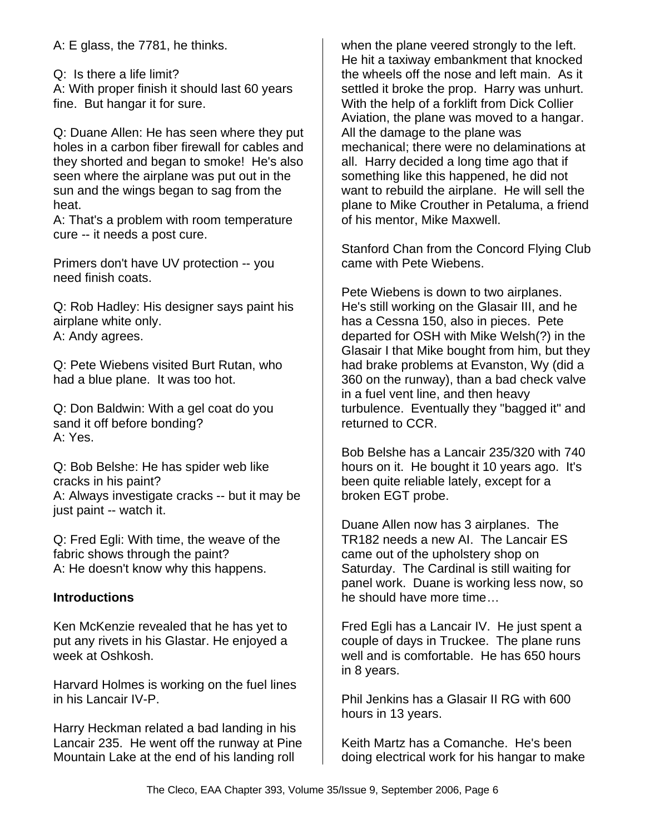Q: Is there a life limit? A: With proper finish it should last 60 years fine. But hangar it for sure.

Q: Duane Allen: He has seen where they put holes in a carbon fiber firewall for cables and they shorted and began to smoke! He's also seen where the airplane was put out in the sun and the wings began to sag from the heat.

A: That's a problem with room temperature cure -- it needs a post cure.

Primers don't have UV protection -- you need finish coats.

Q: Rob Hadley: His designer says paint his airplane white only. A: Andy agrees.

Q: Pete Wiebens visited Burt Rutan, who had a blue plane. It was too hot.

Q: Don Baldwin: With a gel coat do you sand it off before bonding? A: Yes.

Q: Bob Belshe: He has spider web like cracks in his paint? A: Always investigate cracks -- but it may be just paint -- watch it.

Q: Fred Egli: With time, the weave of the fabric shows through the paint? A: He doesn't know why this happens.

#### **Introductions**

Ken McKenzie revealed that he has yet to put any rivets in his Glastar. He enjoyed a week at Oshkosh.

Harvard Holmes is working on the fuel lines in his Lancair IV-P.

Harry Heckman related a bad landing in his Lancair 235. He went off the runway at Pine Mountain Lake at the end of his landing roll

when the plane veered strongly to the left. He hit a taxiway embankment that knocked the wheels off the nose and left main. As it settled it broke the prop. Harry was unhurt. With the help of a forklift from Dick Collier Aviation, the plane was moved to a hangar. All the damage to the plane was mechanical; there were no delaminations at all. Harry decided a long time ago that if something like this happened, he did not want to rebuild the airplane. He will sell the plane to Mike Crouther in Petaluma, a friend of his mentor, Mike Maxwell.

Stanford Chan from the Concord Flying Club came with Pete Wiebens.

Pete Wiebens is down to two airplanes. He's still working on the Glasair III, and he has a Cessna 150, also in pieces. Pete departed for OSH with Mike Welsh(?) in the Glasair I that Mike bought from him, but they had brake problems at Evanston, Wy (did a 360 on the runway), than a bad check valve in a fuel vent line, and then heavy turbulence. Eventually they "bagged it" and returned to CCR.

Bob Belshe has a Lancair 235/320 with 740 hours on it. He bought it 10 years ago. It's been quite reliable lately, except for a broken EGT probe.

Duane Allen now has 3 airplanes. The TR182 needs a new AI. The Lancair ES came out of the upholstery shop on Saturday. The Cardinal is still waiting for panel work. Duane is working less now, so he should have more time…

Fred Egli has a Lancair IV. He just spent a couple of days in Truckee. The plane runs well and is comfortable. He has 650 hours in 8 years.

Phil Jenkins has a Glasair II RG with 600 hours in 13 years.

Keith Martz has a Comanche. He's been doing electrical work for his hangar to make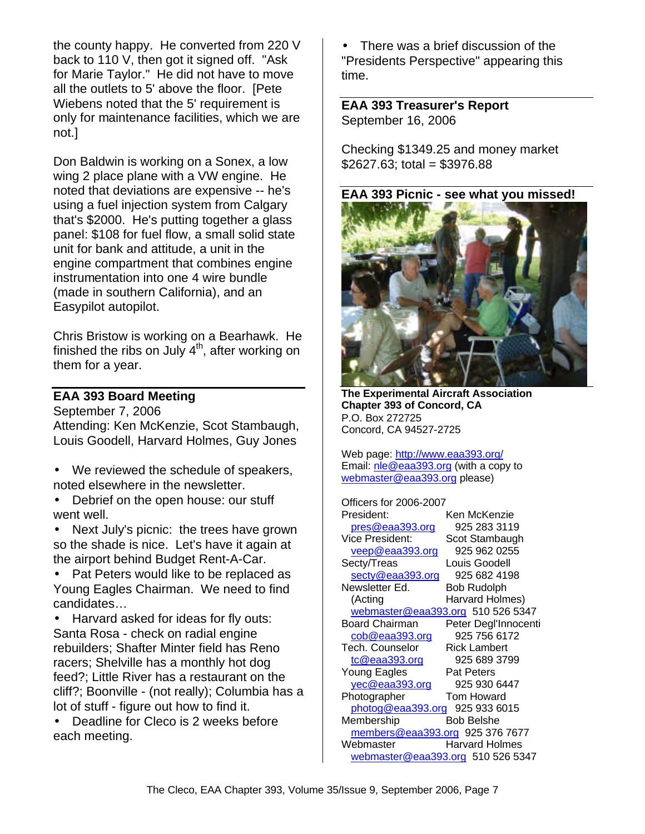the county happy. He converted from 220 V back to 110 V, then got it signed off. "Ask for Marie Taylor." He did not have to move all the outlets to 5' above the floor. [Pete Wiebens noted that the 5' requirement is only for maintenance facilities, which we are not.]

Don Baldwin is working on a Sonex, a low wing 2 place plane with a VW engine. He noted that deviations are expensive -- he's using a fuel injection system from Calgary that's \$2000. He's putting together a glass panel: \$108 for fuel flow, a small solid state unit for bank and attitude, a unit in the engine compartment that combines engine instrumentation into one 4 wire bundle (made in southern California), and an Easypilot autopilot.

Chris Bristow is working on a Bearhawk. He finished the ribs on July  $4<sup>th</sup>$ , after working on them for a year.

#### **EAA 393 Board Meeting**

September 7, 2006 Attending: Ken McKenzie, Scot Stambaugh, Louis Goodell, Harvard Holmes, Guy Jones

- We reviewed the schedule of speakers, noted elsewhere in the newsletter.
- Debrief on the open house: our stuff went well.
- Next July's picnic: the trees have grown so the shade is nice. Let's have it again at the airport behind Budget Rent-A-Car.
- Pat Peters would like to be replaced as Young Eagles Chairman. We need to find candidates…
- Harvard asked for ideas for fly outs: Santa Rosa - check on radial engine rebuilders; Shafter Minter field has Reno racers; Shelville has a monthly hot dog feed?; Little River has a restaurant on the cliff?; Boonville - (not really); Columbia has a lot of stuff - figure out how to find it.

• Deadline for Cleco is 2 weeks before each meeting.

• There was a brief discussion of the "Presidents Perspective" appearing this time.

**EAA 393 Treasurer's Report** September 16, 2006

Checking \$1349.25 and money market  $$2627.63$ ; total = \$3976.88



**The Experimental Aircraft Association Chapter 393 of Concord, CA** P.O. Box 272725 Concord, CA 94527-2725

Web page: http://www.eaa393.org/ Email: nle@eaa393.org (with a copy to webmaster@eaa393.org please)

| <b>Officers for 2006-2007</b>     |                       |
|-----------------------------------|-----------------------|
| President:                        | Ken McKenzie          |
| pres@eaa393.org                   | 925 283 3119          |
| Vice President:                   | Scot Stambaugh        |
| veep@eaa393.org                   | 925 962 0255          |
| Secty/Treas                       | Louis Goodell         |
| secty@eaa393.org                  | 925 682 4198          |
| Newsletter Ed.                    | <b>Bob Rudolph</b>    |
| (Acting                           | Harvard Holmes)       |
| webmaster@eaa393.org 510 526 5347 |                       |
| Board Chairman                    | Peter Degl'Innocenti  |
| $\cosh$ @eaa393.org               | 925 756 6172          |
| <b>Tech. Counselor</b>            | <b>Rick Lambert</b>   |
| <u>tc@eaa393.org</u>              | 925 689 3799          |
| <b>Young Eagles</b>               | <b>Pat Peters</b>     |
| yec@eaa393.org                    | 925 930 6447          |
| Photographer                      | Tom Howard            |
| photog@eaa393.org 925 933 6015    |                       |
| Membership                        | Bob Belshe            |
| members@eaa393.org 925 376 7677   |                       |
| Webmaster                         | <b>Harvard Holmes</b> |
| webmaster@eaa393.org 510 526 5347 |                       |